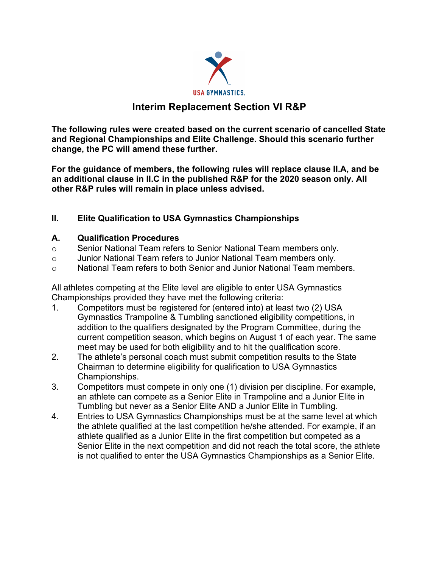

## **Interim Replacement Section VI R&P**

**The following rules were created based on the current scenario of cancelled State and Regional Championships and Elite Challenge. Should this scenario further change, the PC will amend these further.**

**For the guidance of members, the following rules will replace clause II.A, and be an additional clause in II.C in the published R&P for the 2020 season only. All other R&P rules will remain in place unless advised.**

## **II. Elite Qualification to USA Gymnastics Championships**

## **A. Qualification Procedures**

- o Senior National Team refers to Senior National Team members only.
- o Junior National Team refers to Junior National Team members only.
- $\circ$  National Team refers to both Senior and Junior National Team members.

All athletes competing at the Elite level are eligible to enter USA Gymnastics Championships provided they have met the following criteria:

- 1. Competitors must be registered for (entered into) at least two (2) USA Gymnastics Trampoline & Tumbling sanctioned eligibility competitions, in addition to the qualifiers designated by the Program Committee, during the current competition season, which begins on August 1 of each year. The same meet may be used for both eligibility and to hit the qualification score.
- 2. The athlete's personal coach must submit competition results to the State Chairman to determine eligibility for qualification to USA Gymnastics Championships.
- 3. Competitors must compete in only one (1) division per discipline. For example, an athlete can compete as a Senior Elite in Trampoline and a Junior Elite in Tumbling but never as a Senior Elite AND a Junior Elite in Tumbling.
- 4. Entries to USA Gymnastics Championships must be at the same level at which the athlete qualified at the last competition he/she attended. For example, if an athlete qualified as a Junior Elite in the first competition but competed as a Senior Elite in the next competition and did not reach the total score, the athlete is not qualified to enter the USA Gymnastics Championships as a Senior Elite.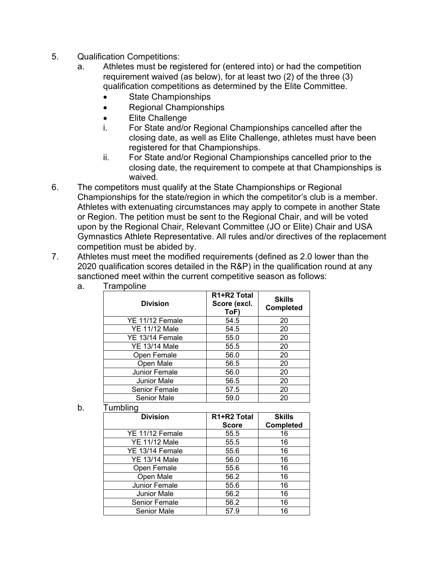- 5. Qualification Competitions:
	- a. Athletes must be registered for (entered into) or had the competition requirement waived (as below), for at least two (2) of the three (3) qualification competitions as determined by the Elite Committee.
		- State Championships
		- Regional Championships
		- Elite Challenge
		- i. For State and/or Regional Championships cancelled after the closing date, as well as Elite Challenge, athletes must have been registered for that Championships.
		- ii. For State and/or Regional Championships cancelled prior to the closing date, the requirement to compete at that Championships is waived.
- 6. The competitors must qualify at the State Championships or Regional Championships for the state/region in which the competitor's club is a member. Athletes with extenuating circumstances may apply to compete in another State or Region. The petition must be sent to the Regional Chair, and will be voted upon by the Regional Chair, Relevant Committee (JO or Elite) Chair and USA Gymnastics Athlete Representative. All rules and/or directives of the replacement competition must be abided by.
- 7. Athletes must meet the modified requirements (defined as 2.0 lower than the 2020 qualification scores detailed in the R&P) in the qualification round at any sanctioned meet within the current competitive season as follows:

| <b>Division</b>      | R1+R2 Total<br>Score (excl.<br>ToF) | <b>Skills</b><br><b>Completed</b> |
|----------------------|-------------------------------------|-----------------------------------|
| YE 11/12 Female      | 54.5                                | 20                                |
| YE 11/12 Male        | 54.5                                | 20                                |
| YE 13/14 Female      | 55.0                                | 20                                |
| YE 13/14 Male        | 55.5                                | 20                                |
| Open Female          | 56.0                                | 20                                |
| Open Male            | 56.5                                | 20                                |
| Junior Female        | 56.0                                | 20                                |
| <b>Junior Male</b>   | 56.5                                | 20                                |
| <b>Senior Female</b> | 57.5                                | 20                                |
| <b>Senior Male</b>   | 59.0                                | 20                                |

a. Trampoline

b. Tumbling

| <b>Division</b>    | R1+R2 Total  | <b>Skills</b>    |
|--------------------|--------------|------------------|
|                    | <b>Score</b> | <b>Completed</b> |
| YE 11/12 Female    | 55.5         | 16               |
| YE 11/12 Male      | 55.5         | 16               |
| YE 13/14 Female    | 55.6         | 16               |
| YE 13/14 Male      | 56.0         | 16               |
| Open Female        | 55.6         | 16               |
| Open Male          | 56.2         | 16               |
| Junior Female      | 55.6         | 16               |
| <b>Junior Male</b> | 56.2         | 16               |
| Senior Female      | 56.2         | 16               |
| <b>Senior Male</b> | 57.9         | 16               |